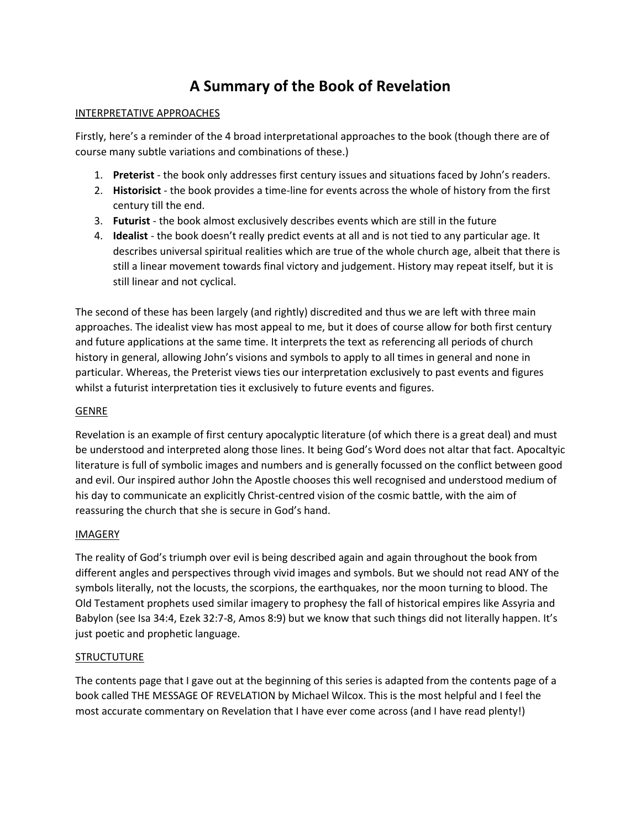# **A Summary of the Book of Revelation**

#### INTERPRETATIVE APPROACHES

Firstly, here's a reminder of the 4 broad interpretational approaches to the book (though there are of course many subtle variations and combinations of these.)

- 1. **Preterist** the book only addresses first century issues and situations faced by John's readers.
- 2. **Historisict** the book provides a time-line for events across the whole of history from the first century till the end.
- 3. **Futurist** the book almost exclusively describes events which are still in the future
- 4. **Idealist** the book doesn't really predict events at all and is not tied to any particular age. It describes universal spiritual realities which are true of the whole church age, albeit that there is still a linear movement towards final victory and judgement. History may repeat itself, but it is still linear and not cyclical.

The second of these has been largely (and rightly) discredited and thus we are left with three main approaches. The idealist view has most appeal to me, but it does of course allow for both first century and future applications at the same time. It interprets the text as referencing all periods of church history in general, allowing John's visions and symbols to apply to all times in general and none in particular. Whereas, the Preterist views ties our interpretation exclusively to past events and figures whilst a futurist interpretation ties it exclusively to future events and figures.

#### GENRE

Revelation is an example of first century apocalyptic literature (of which there is a great deal) and must be understood and interpreted along those lines. It being God's Word does not altar that fact. Apocaltyic literature is full of symbolic images and numbers and is generally focussed on the conflict between good and evil. Our inspired author John the Apostle chooses this well recognised and understood medium of his day to communicate an explicitly Christ-centred vision of the cosmic battle, with the aim of reassuring the church that she is secure in God's hand.

#### IMAGERY

The reality of God's triumph over evil is being described again and again throughout the book from different angles and perspectives through vivid images and symbols. But we should not read ANY of the symbols literally, not the locusts, the scorpions, the earthquakes, nor the moon turning to blood. The Old Testament prophets used similar imagery to prophesy the fall of historical empires like Assyria and Babylon (see Isa 34:4, Ezek 32:7-8, Amos 8:9) but we know that such things did not literally happen. It's just poetic and prophetic language.

#### **STRUCTUTURE**

The contents page that I gave out at the beginning of this series is adapted from the contents page of a book called THE MESSAGE OF REVELATION by Michael Wilcox. This is the most helpful and I feel the most accurate commentary on Revelation that I have ever come across (and I have read plenty!)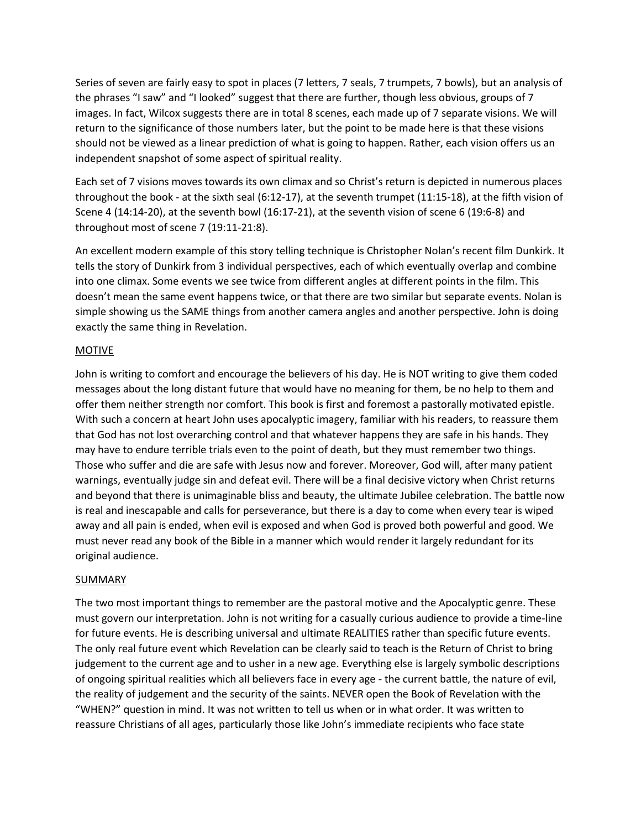Series of seven are fairly easy to spot in places (7 letters, 7 seals, 7 trumpets, 7 bowls), but an analysis of the phrases "I saw" and "I looked" suggest that there are further, though less obvious, groups of 7 images. In fact, Wilcox suggests there are in total 8 scenes, each made up of 7 separate visions. We will return to the significance of those numbers later, but the point to be made here is that these visions should not be viewed as a linear prediction of what is going to happen. Rather, each vision offers us an independent snapshot of some aspect of spiritual reality.

Each set of 7 visions moves towards its own climax and so Christ's return is depicted in numerous places throughout the book - at the sixth seal (6:12-17), at the seventh trumpet (11:15-18), at the fifth vision of Scene 4 (14:14-20), at the seventh bowl (16:17-21), at the seventh vision of scene 6 (19:6-8) and throughout most of scene 7 (19:11-21:8).

An excellent modern example of this story telling technique is Christopher Nolan's recent film Dunkirk. It tells the story of Dunkirk from 3 individual perspectives, each of which eventually overlap and combine into one climax. Some events we see twice from different angles at different points in the film. This doesn't mean the same event happens twice, or that there are two similar but separate events. Nolan is simple showing us the SAME things from another camera angles and another perspective. John is doing exactly the same thing in Revelation.

#### **MOTIVE**

John is writing to comfort and encourage the believers of his day. He is NOT writing to give them coded messages about the long distant future that would have no meaning for them, be no help to them and offer them neither strength nor comfort. This book is first and foremost a pastorally motivated epistle. With such a concern at heart John uses apocalyptic imagery, familiar with his readers, to reassure them that God has not lost overarching control and that whatever happens they are safe in his hands. They may have to endure terrible trials even to the point of death, but they must remember two things. Those who suffer and die are safe with Jesus now and forever. Moreover, God will, after many patient warnings, eventually judge sin and defeat evil. There will be a final decisive victory when Christ returns and beyond that there is unimaginable bliss and beauty, the ultimate Jubilee celebration. The battle now is real and inescapable and calls for perseverance, but there is a day to come when every tear is wiped away and all pain is ended, when evil is exposed and when God is proved both powerful and good. We must never read any book of the Bible in a manner which would render it largely redundant for its original audience.

#### **SUMMARY**

The two most important things to remember are the pastoral motive and the Apocalyptic genre. These must govern our interpretation. John is not writing for a casually curious audience to provide a time-line for future events. He is describing universal and ultimate REALITIES rather than specific future events. The only real future event which Revelation can be clearly said to teach is the Return of Christ to bring judgement to the current age and to usher in a new age. Everything else is largely symbolic descriptions of ongoing spiritual realities which all believers face in every age - the current battle, the nature of evil, the reality of judgement and the security of the saints. NEVER open the Book of Revelation with the "WHEN?" question in mind. It was not written to tell us when or in what order. It was written to reassure Christians of all ages, particularly those like John's immediate recipients who face state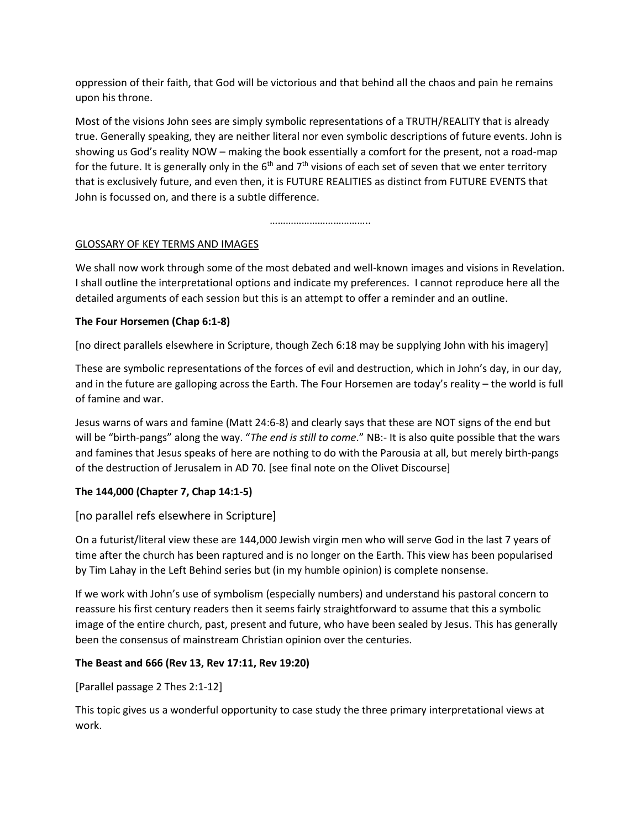oppression of their faith, that God will be victorious and that behind all the chaos and pain he remains upon his throne.

Most of the visions John sees are simply symbolic representations of a TRUTH/REALITY that is already true. Generally speaking, they are neither literal nor even symbolic descriptions of future events. John is showing us God's reality NOW – making the book essentially a comfort for the present, not a road-map for the future. It is generally only in the  $6<sup>th</sup>$  and  $7<sup>th</sup>$  visions of each set of seven that we enter territory that is exclusively future, and even then, it is FUTURE REALITIES as distinct from FUTURE EVENTS that John is focussed on, and there is a subtle difference.

……………………………………

# GLOSSARY OF KEY TERMS AND IMAGES

We shall now work through some of the most debated and well-known images and visions in Revelation. I shall outline the interpretational options and indicate my preferences. I cannot reproduce here all the detailed arguments of each session but this is an attempt to offer a reminder and an outline.

# **The Four Horsemen (Chap 6:1-8)**

[no direct parallels elsewhere in Scripture, though Zech 6:18 may be supplying John with his imagery]

These are symbolic representations of the forces of evil and destruction, which in John's day, in our day, and in the future are galloping across the Earth. The Four Horsemen are today's reality – the world is full of famine and war.

Jesus warns of wars and famine (Matt 24:6-8) and clearly says that these are NOT signs of the end but will be "birth-pangs" along the way. "*The end is still to come*." NB:- It is also quite possible that the wars and famines that Jesus speaks of here are nothing to do with the Parousia at all, but merely birth-pangs of the destruction of Jerusalem in AD 70. [see final note on the Olivet Discourse]

# **The 144,000 (Chapter 7, Chap 14:1-5)**

# [no parallel refs elsewhere in Scripture]

On a futurist/literal view these are 144,000 Jewish virgin men who will serve God in the last 7 years of time after the church has been raptured and is no longer on the Earth. This view has been popularised by Tim Lahay in the Left Behind series but (in my humble opinion) is complete nonsense.

If we work with John's use of symbolism (especially numbers) and understand his pastoral concern to reassure his first century readers then it seems fairly straightforward to assume that this a symbolic image of the entire church, past, present and future, who have been sealed by Jesus. This has generally been the consensus of mainstream Christian opinion over the centuries.

# **The Beast and 666 (Rev 13, Rev 17:11, Rev 19:20)**

[Parallel passage 2 Thes 2:1-12]

This topic gives us a wonderful opportunity to case study the three primary interpretational views at work.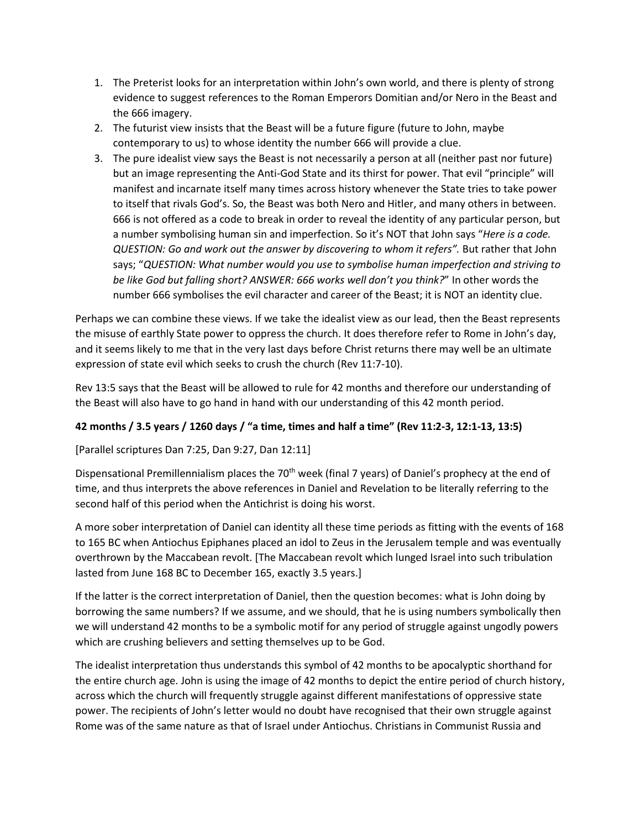- 1. The Preterist looks for an interpretation within John's own world, and there is plenty of strong evidence to suggest references to the Roman Emperors Domitian and/or Nero in the Beast and the 666 imagery.
- 2. The futurist view insists that the Beast will be a future figure (future to John, maybe contemporary to us) to whose identity the number 666 will provide a clue.
- 3. The pure idealist view says the Beast is not necessarily a person at all (neither past nor future) but an image representing the Anti-God State and its thirst for power. That evil "principle" will manifest and incarnate itself many times across history whenever the State tries to take power to itself that rivals God's. So, the Beast was both Nero and Hitler, and many others in between. 666 is not offered as a code to break in order to reveal the identity of any particular person, but a number symbolising human sin and imperfection. So it's NOT that John says "*Here is a code. QUESTION: Go and work out the answer by discovering to whom it refers".* But rather that John says; "*QUESTION: What number would you use to symbolise human imperfection and striving to be like God but falling short? ANSWER: 666 works well don't you think?*" In other words the number 666 symbolises the evil character and career of the Beast; it is NOT an identity clue.

Perhaps we can combine these views. If we take the idealist view as our lead, then the Beast represents the misuse of earthly State power to oppress the church. It does therefore refer to Rome in John's day, and it seems likely to me that in the very last days before Christ returns there may well be an ultimate expression of state evil which seeks to crush the church (Rev 11:7-10).

Rev 13:5 says that the Beast will be allowed to rule for 42 months and therefore our understanding of the Beast will also have to go hand in hand with our understanding of this 42 month period.

# **42 months / 3.5 years / 1260 days / "a time, times and half a time" (Rev 11:2-3, 12:1-13, 13:5)**

[Parallel scriptures Dan 7:25, Dan 9:27, Dan 12:11]

Dispensational Premillennialism places the 70<sup>th</sup> week (final 7 years) of Daniel's prophecy at the end of time, and thus interprets the above references in Daniel and Revelation to be literally referring to the second half of this period when the Antichrist is doing his worst.

A more sober interpretation of Daniel can identity all these time periods as fitting with the events of 168 to 165 BC when Antiochus Epiphanes placed an idol to Zeus in the Jerusalem temple and was eventually overthrown by the Maccabean revolt. [The Maccabean revolt which lunged Israel into such tribulation lasted from June 168 BC to December 165, exactly 3.5 years.]

If the latter is the correct interpretation of Daniel, then the question becomes: what is John doing by borrowing the same numbers? If we assume, and we should, that he is using numbers symbolically then we will understand 42 months to be a symbolic motif for any period of struggle against ungodly powers which are crushing believers and setting themselves up to be God.

The idealist interpretation thus understands this symbol of 42 months to be apocalyptic shorthand for the entire church age. John is using the image of 42 months to depict the entire period of church history, across which the church will frequently struggle against different manifestations of oppressive state power. The recipients of John's letter would no doubt have recognised that their own struggle against Rome was of the same nature as that of Israel under Antiochus. Christians in Communist Russia and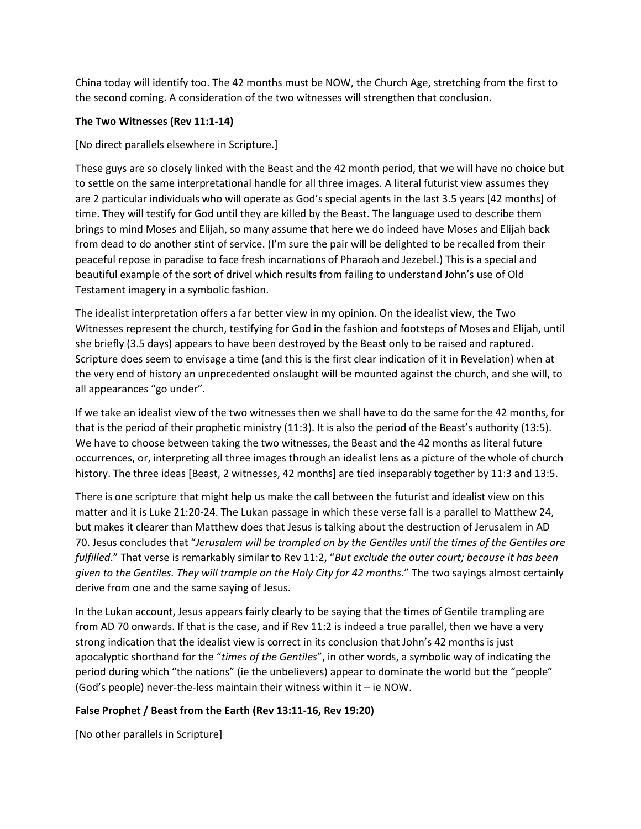China today will identify too. The 42 months must be NOW, the Church Age, stretching from the first to the second coming. A consideration of the two witnesses will strengthen that conclusion.

## **The Two Witnesses (Rev 11:1-14)**

## [No direct parallels elsewhere in Scripture.]

These guys are so closely linked with the Beast and the 42 month period, that we will have no choice but to settle on the same interpretational handle for all three images. A literal futurist view assumes they are 2 particular individuals who will operate as God's special agents in the last 3.5 years [42 months] of time. They will testify for God until they are killed by the Beast. The language used to describe them brings to mind Moses and Elijah, so many assume that here we do indeed have Moses and Elijah back from dead to do another stint of service. (I'm sure the pair will be delighted to be recalled from their peaceful repose in paradise to face fresh incarnations of Pharaoh and Jezebel.) This is a special and beautiful example of the sort of drivel which results from failing to understand John's use of Old Testament imagery in a symbolic fashion.

The idealist interpretation offers a far better view in my opinion. On the idealist view, the Two Witnesses represent the church, testifying for God in the fashion and footsteps of Moses and Elijah, until she briefly (3.5 days) appears to have been destroyed by the Beast only to be raised and raptured. Scripture does seem to envisage a time (and this is the first clear indication of it in Revelation) when at the very end of history an unprecedented onslaught will be mounted against the church, and she will, to all appearances "go under".

If we take an idealist view of the two witnesses then we shall have to do the same for the 42 months, for that is the period of their prophetic ministry (11:3). It is also the period of the Beast's authority (13:5). We have to choose between taking the two witnesses, the Beast and the 42 months as literal future occurrences, or, interpreting all three images through an idealist lens as a picture of the whole of church history. The three ideas [Beast, 2 witnesses, 42 months] are tied inseparably together by 11:3 and 13:5.

There is one scripture that might help us make the call between the futurist and idealist view on this matter and it is Luke 21:20-24. The Lukan passage in which these verse fall is a parallel to Matthew 24, but makes it clearer than Matthew does that Jesus is talking about the destruction of Jerusalem in AD 70. Jesus concludes that "*Jerusalem will be trampled on by the Gentiles until the times of the Gentiles are fulfilled*." That verse is remarkably similar to Rev 11:2, "*But exclude the outer court; because it has been given to the Gentiles. They will trample on the Holy City for 42 months*." The two sayings almost certainly derive from one and the same saying of Jesus.

In the Lukan account, Jesus appears fairly clearly to be saying that the times of Gentile trampling are from AD 70 onwards. If that is the case, and if Rev 11:2 is indeed a true parallel, then we have a very strong indication that the idealist view is correct in its conclusion that John's 42 months is just apocalyptic shorthand for the "*times of the Gentiles*", in other words, a symbolic way of indicating the period during which "the nations" (ie the unbelievers) appear to dominate the world but the "people" (God's people) never-the-less maintain their witness within it – ie NOW.

#### **False Prophet / Beast from the Earth (Rev 13:11-16, Rev 19:20)**

[No other parallels in Scripture]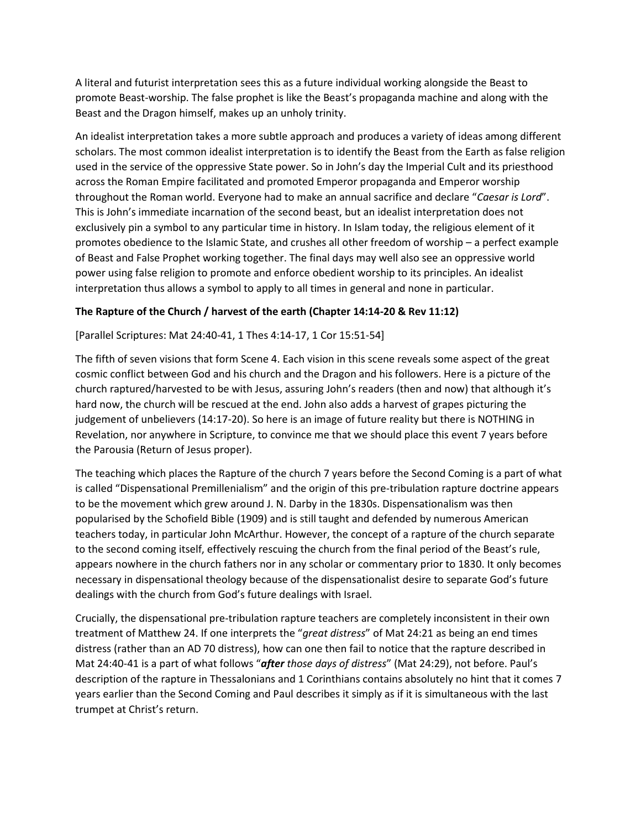A literal and futurist interpretation sees this as a future individual working alongside the Beast to promote Beast-worship. The false prophet is like the Beast's propaganda machine and along with the Beast and the Dragon himself, makes up an unholy trinity.

An idealist interpretation takes a more subtle approach and produces a variety of ideas among different scholars. The most common idealist interpretation is to identify the Beast from the Earth as false religion used in the service of the oppressive State power. So in John's day the Imperial Cult and its priesthood across the Roman Empire facilitated and promoted Emperor propaganda and Emperor worship throughout the Roman world. Everyone had to make an annual sacrifice and declare "*Caesar is Lord*". This is John's immediate incarnation of the second beast, but an idealist interpretation does not exclusively pin a symbol to any particular time in history. In Islam today, the religious element of it promotes obedience to the Islamic State, and crushes all other freedom of worship – a perfect example of Beast and False Prophet working together. The final days may well also see an oppressive world power using false religion to promote and enforce obedient worship to its principles. An idealist interpretation thus allows a symbol to apply to all times in general and none in particular.

## **The Rapture of the Church / harvest of the earth (Chapter 14:14-20 & Rev 11:12)**

## [Parallel Scriptures: Mat 24:40-41, 1 Thes 4:14-17, 1 Cor 15:51-54]

The fifth of seven visions that form Scene 4. Each vision in this scene reveals some aspect of the great cosmic conflict between God and his church and the Dragon and his followers. Here is a picture of the church raptured/harvested to be with Jesus, assuring John's readers (then and now) that although it's hard now, the church will be rescued at the end. John also adds a harvest of grapes picturing the judgement of unbelievers (14:17-20). So here is an image of future reality but there is NOTHING in Revelation, nor anywhere in Scripture, to convince me that we should place this event 7 years before the Parousia (Return of Jesus proper).

The teaching which places the Rapture of the church 7 years before the Second Coming is a part of what is called "Dispensational Premillenialism" and the origin of this pre-tribulation rapture doctrine appears to be the movement which grew around J. N. Darby in the 1830s. Dispensationalism was then popularised by the Schofield Bible (1909) and is still taught and defended by numerous American teachers today, in particular John McArthur. However, the concept of a rapture of the church separate to the second coming itself, effectively rescuing the church from the final period of the Beast's rule, appears nowhere in the church fathers nor in any scholar or commentary prior to 1830. It only becomes necessary in dispensational theology because of the dispensationalist desire to separate God's future dealings with the church from God's future dealings with Israel.

Crucially, the dispensational pre-tribulation rapture teachers are completely inconsistent in their own treatment of Matthew 24. If one interprets the "*great distress*" of Mat 24:21 as being an end times distress (rather than an AD 70 distress), how can one then fail to notice that the rapture described in Mat 24:40-41 is a part of what follows "*after those days of distress*" (Mat 24:29), not before. Paul's description of the rapture in Thessalonians and 1 Corinthians contains absolutely no hint that it comes 7 years earlier than the Second Coming and Paul describes it simply as if it is simultaneous with the last trumpet at Christ's return.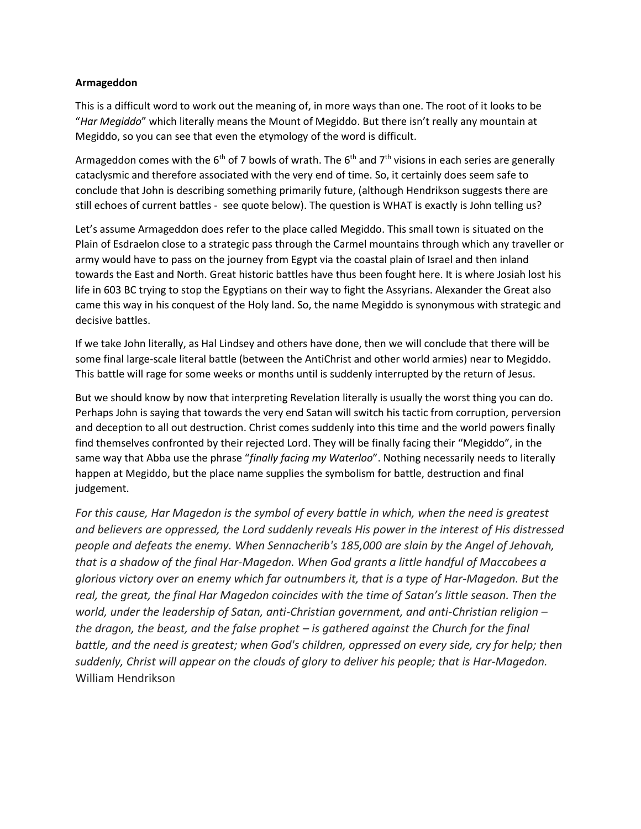#### **Armageddon**

This is a difficult word to work out the meaning of, in more ways than one. The root of it looks to be "*Har Megiddo*" which literally means the Mount of Megiddo. But there isn't really any mountain at Megiddo, so you can see that even the etymology of the word is difficult.

Armageddon comes with the 6<sup>th</sup> of 7 bowls of wrath. The 6<sup>th</sup> and 7<sup>th</sup> visions in each series are generally cataclysmic and therefore associated with the very end of time. So, it certainly does seem safe to conclude that John is describing something primarily future, (although Hendrikson suggests there are still echoes of current battles - see quote below). The question is WHAT is exactly is John telling us?

Let's assume Armageddon does refer to the place called Megiddo. This small town is situated on the Plain of Esdraelon close to a strategic pass through the Carmel mountains through which any traveller or army would have to pass on the journey from Egypt via the coastal plain of Israel and then inland towards the East and North. Great historic battles have thus been fought here. It is where Josiah lost his life in 603 BC trying to stop the Egyptians on their way to fight the Assyrians. Alexander the Great also came this way in his conquest of the Holy land. So, the name Megiddo is synonymous with strategic and decisive battles.

If we take John literally, as Hal Lindsey and others have done, then we will conclude that there will be some final large-scale literal battle (between the AntiChrist and other world armies) near to Megiddo. This battle will rage for some weeks or months until is suddenly interrupted by the return of Jesus.

But we should know by now that interpreting Revelation literally is usually the worst thing you can do. Perhaps John is saying that towards the very end Satan will switch his tactic from corruption, perversion and deception to all out destruction. Christ comes suddenly into this time and the world powers finally find themselves confronted by their rejected Lord. They will be finally facing their "Megiddo", in the same way that Abba use the phrase "*finally facing my Waterloo*". Nothing necessarily needs to literally happen at Megiddo, but the place name supplies the symbolism for battle, destruction and final judgement.

*For this cause, Har Magedon is the symbol of every battle in which, when the need is greatest and believers are oppressed, the Lord suddenly reveals His power in the interest of His distressed people and defeats the enemy. When Sennacherib's 185,000 are slain by the Angel of Jehovah, that is a shadow of the final Har-Magedon. When God grants a little handful of Maccabees a glorious victory over an enemy which far outnumbers it, that is a type of Har-Magedon. But the real, the great, the final Har Magedon coincides with the time of Satan's little season. Then the world, under the leadership of Satan, anti-Christian government, and anti-Christian religion – the dragon, the beast, and the false prophet – is gathered against the Church for the final battle, and the need is greatest; when God's children, oppressed on every side, cry for help; then suddenly, Christ will appear on the clouds of glory to deliver his people; that is Har-Magedon.*  William Hendrikson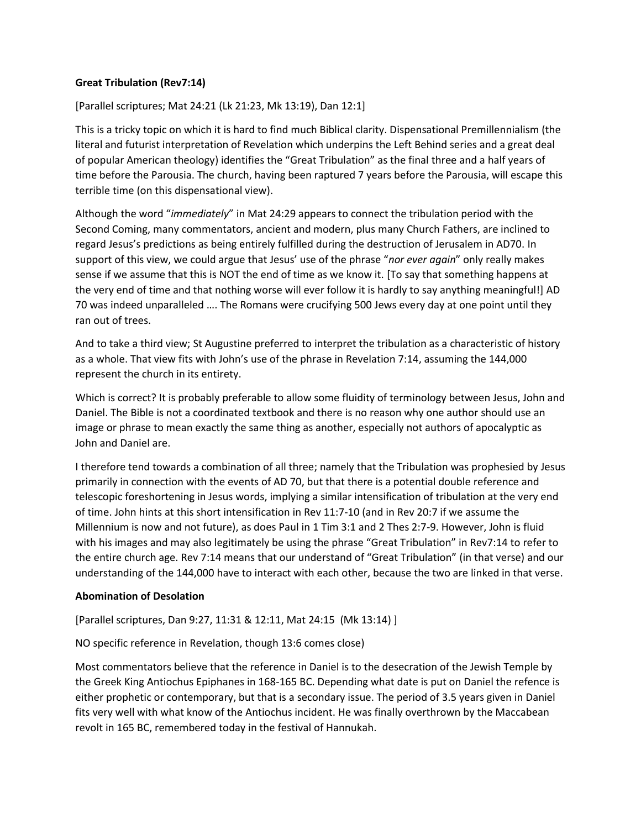## **Great Tribulation (Rev7:14)**

[Parallel scriptures; Mat 24:21 (Lk 21:23, Mk 13:19), Dan 12:1]

This is a tricky topic on which it is hard to find much Biblical clarity. Dispensational Premillennialism (the literal and futurist interpretation of Revelation which underpins the Left Behind series and a great deal of popular American theology) identifies the "Great Tribulation" as the final three and a half years of time before the Parousia. The church, having been raptured 7 years before the Parousia, will escape this terrible time (on this dispensational view).

Although the word "*immediately*" in Mat 24:29 appears to connect the tribulation period with the Second Coming, many commentators, ancient and modern, plus many Church Fathers, are inclined to regard Jesus's predictions as being entirely fulfilled during the destruction of Jerusalem in AD70. In support of this view, we could argue that Jesus' use of the phrase "*nor ever again*" only really makes sense if we assume that this is NOT the end of time as we know it. [To say that something happens at the very end of time and that nothing worse will ever follow it is hardly to say anything meaningful!] AD 70 was indeed unparalleled …. The Romans were crucifying 500 Jews every day at one point until they ran out of trees.

And to take a third view; St Augustine preferred to interpret the tribulation as a characteristic of history as a whole. That view fits with John's use of the phrase in Revelation 7:14, assuming the 144,000 represent the church in its entirety.

Which is correct? It is probably preferable to allow some fluidity of terminology between Jesus, John and Daniel. The Bible is not a coordinated textbook and there is no reason why one author should use an image or phrase to mean exactly the same thing as another, especially not authors of apocalyptic as John and Daniel are.

I therefore tend towards a combination of all three; namely that the Tribulation was prophesied by Jesus primarily in connection with the events of AD 70, but that there is a potential double reference and telescopic foreshortening in Jesus words, implying a similar intensification of tribulation at the very end of time. John hints at this short intensification in Rev 11:7-10 (and in Rev 20:7 if we assume the Millennium is now and not future), as does Paul in 1 Tim 3:1 and 2 Thes 2:7-9. However, John is fluid with his images and may also legitimately be using the phrase "Great Tribulation" in Rev7:14 to refer to the entire church age. Rev 7:14 means that our understand of "Great Tribulation" (in that verse) and our understanding of the 144,000 have to interact with each other, because the two are linked in that verse.

#### **Abomination of Desolation**

[Parallel scriptures, Dan 9:27, 11:31 & 12:11, Mat 24:15 (Mk 13:14) ]

NO specific reference in Revelation, though 13:6 comes close)

Most commentators believe that the reference in Daniel is to the desecration of the Jewish Temple by the Greek King Antiochus Epiphanes in 168-165 BC. Depending what date is put on Daniel the refence is either prophetic or contemporary, but that is a secondary issue. The period of 3.5 years given in Daniel fits very well with what know of the Antiochus incident. He was finally overthrown by the Maccabean revolt in 165 BC, remembered today in the festival of Hannukah.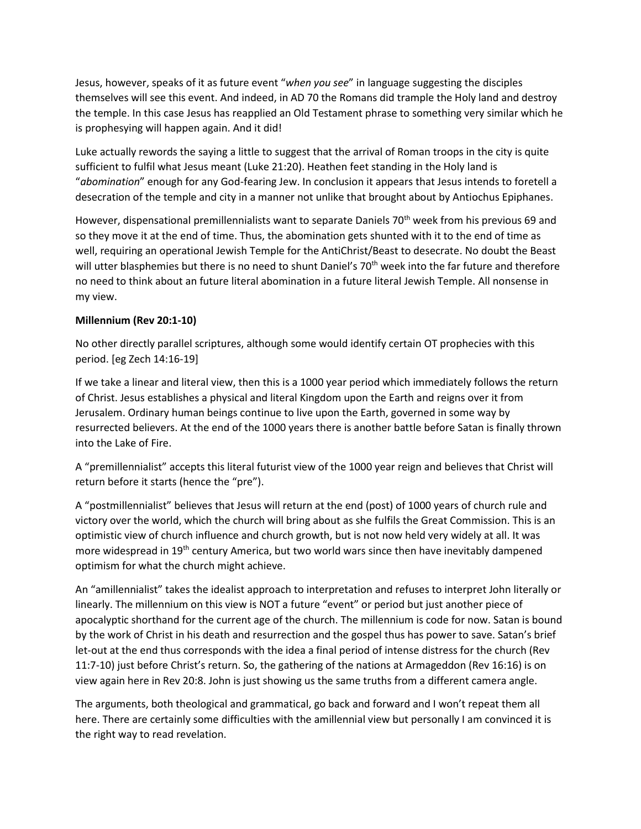Jesus, however, speaks of it as future event "*when you see*" in language suggesting the disciples themselves will see this event. And indeed, in AD 70 the Romans did trample the Holy land and destroy the temple. In this case Jesus has reapplied an Old Testament phrase to something very similar which he is prophesying will happen again. And it did!

Luke actually rewords the saying a little to suggest that the arrival of Roman troops in the city is quite sufficient to fulfil what Jesus meant (Luke 21:20). Heathen feet standing in the Holy land is "*abomination*" enough for any God-fearing Jew. In conclusion it appears that Jesus intends to foretell a desecration of the temple and city in a manner not unlike that brought about by Antiochus Epiphanes.

However, dispensational premillennialists want to separate Daniels  $70<sup>th</sup>$  week from his previous 69 and so they move it at the end of time. Thus, the abomination gets shunted with it to the end of time as well, requiring an operational Jewish Temple for the AntiChrist/Beast to desecrate. No doubt the Beast will utter blasphemies but there is no need to shunt Daniel's 70<sup>th</sup> week into the far future and therefore no need to think about an future literal abomination in a future literal Jewish Temple. All nonsense in my view.

## **Millennium (Rev 20:1-10)**

No other directly parallel scriptures, although some would identify certain OT prophecies with this period. [eg Zech 14:16-19]

If we take a linear and literal view, then this is a 1000 year period which immediately follows the return of Christ. Jesus establishes a physical and literal Kingdom upon the Earth and reigns over it from Jerusalem. Ordinary human beings continue to live upon the Earth, governed in some way by resurrected believers. At the end of the 1000 years there is another battle before Satan is finally thrown into the Lake of Fire.

A "premillennialist" accepts this literal futurist view of the 1000 year reign and believes that Christ will return before it starts (hence the "pre").

A "postmillennialist" believes that Jesus will return at the end (post) of 1000 years of church rule and victory over the world, which the church will bring about as she fulfils the Great Commission. This is an optimistic view of church influence and church growth, but is not now held very widely at all. It was more widespread in 19<sup>th</sup> century America, but two world wars since then have inevitably dampened optimism for what the church might achieve.

An "amillennialist" takes the idealist approach to interpretation and refuses to interpret John literally or linearly. The millennium on this view is NOT a future "event" or period but just another piece of apocalyptic shorthand for the current age of the church. The millennium is code for now. Satan is bound by the work of Christ in his death and resurrection and the gospel thus has power to save. Satan's brief let-out at the end thus corresponds with the idea a final period of intense distress for the church (Rev 11:7-10) just before Christ's return. So, the gathering of the nations at Armageddon (Rev 16:16) is on view again here in Rev 20:8. John is just showing us the same truths from a different camera angle.

The arguments, both theological and grammatical, go back and forward and I won't repeat them all here. There are certainly some difficulties with the amillennial view but personally I am convinced it is the right way to read revelation.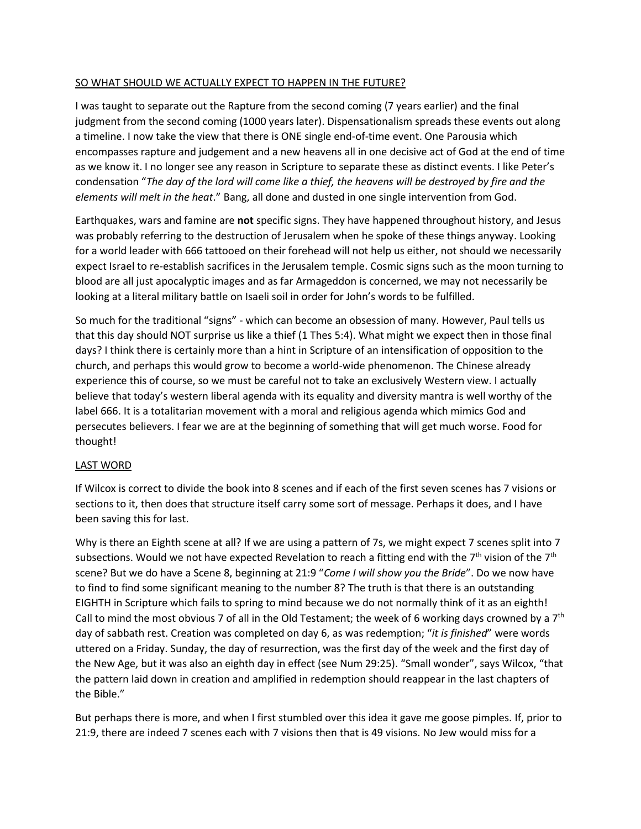## SO WHAT SHOULD WE ACTUALLY EXPECT TO HAPPEN IN THE FUTURE?

I was taught to separate out the Rapture from the second coming (7 years earlier) and the final judgment from the second coming (1000 years later). Dispensationalism spreads these events out along a timeline. I now take the view that there is ONE single end-of-time event. One Parousia which encompasses rapture and judgement and a new heavens all in one decisive act of God at the end of time as we know it. I no longer see any reason in Scripture to separate these as distinct events. I like Peter's condensation "*The day of the lord will come like a thief, the heavens will be destroyed by fire and the elements will melt in the heat*." Bang, all done and dusted in one single intervention from God.

Earthquakes, wars and famine are **not** specific signs. They have happened throughout history, and Jesus was probably referring to the destruction of Jerusalem when he spoke of these things anyway. Looking for a world leader with 666 tattooed on their forehead will not help us either, not should we necessarily expect Israel to re-establish sacrifices in the Jerusalem temple. Cosmic signs such as the moon turning to blood are all just apocalyptic images and as far Armageddon is concerned, we may not necessarily be looking at a literal military battle on Isaeli soil in order for John's words to be fulfilled.

So much for the traditional "signs" - which can become an obsession of many. However, Paul tells us that this day should NOT surprise us like a thief (1 Thes 5:4). What might we expect then in those final days? I think there is certainly more than a hint in Scripture of an intensification of opposition to the church, and perhaps this would grow to become a world-wide phenomenon. The Chinese already experience this of course, so we must be careful not to take an exclusively Western view. I actually believe that today's western liberal agenda with its equality and diversity mantra is well worthy of the label 666. It is a totalitarian movement with a moral and religious agenda which mimics God and persecutes believers. I fear we are at the beginning of something that will get much worse. Food for thought!

#### LAST WORD

If Wilcox is correct to divide the book into 8 scenes and if each of the first seven scenes has 7 visions or sections to it, then does that structure itself carry some sort of message. Perhaps it does, and I have been saving this for last.

Why is there an Eighth scene at all? If we are using a pattern of 7s, we might expect 7 scenes split into 7 subsections. Would we not have expected Revelation to reach a fitting end with the  $7<sup>th</sup>$  vision of the  $7<sup>th</sup>$ scene? But we do have a Scene 8, beginning at 21:9 "*Come I will show you the Bride*". Do we now have to find to find some significant meaning to the number 8? The truth is that there is an outstanding EIGHTH in Scripture which fails to spring to mind because we do not normally think of it as an eighth! Call to mind the most obvious 7 of all in the Old Testament; the week of 6 working days crowned by a  $7<sup>th</sup>$ day of sabbath rest. Creation was completed on day 6, as was redemption; "*it is finished*" were words uttered on a Friday. Sunday, the day of resurrection, was the first day of the week and the first day of the New Age, but it was also an eighth day in effect (see Num 29:25). "Small wonder", says Wilcox, "that the pattern laid down in creation and amplified in redemption should reappear in the last chapters of the Bible."

But perhaps there is more, and when I first stumbled over this idea it gave me goose pimples. If, prior to 21:9, there are indeed 7 scenes each with 7 visions then that is 49 visions. No Jew would miss for a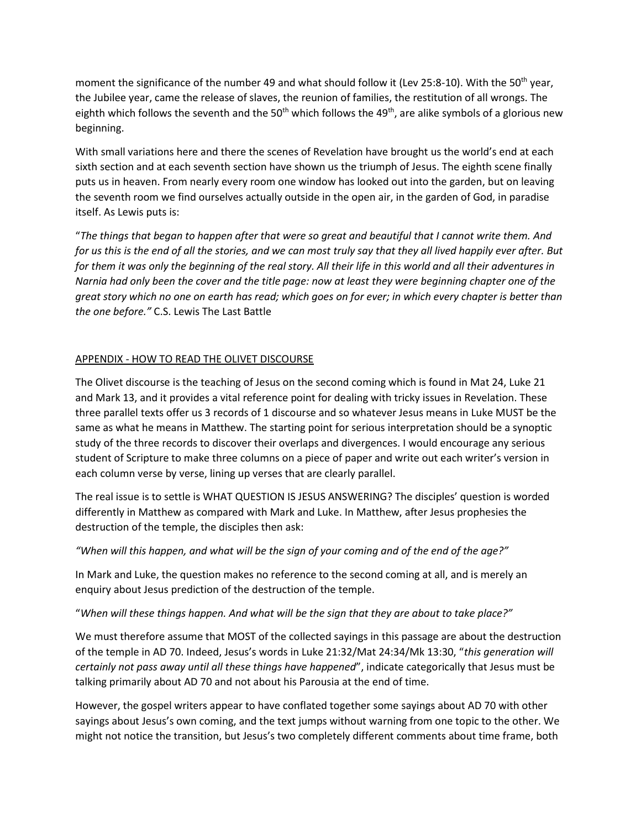moment the significance of the number 49 and what should follow it (Lev 25:8-10). With the 50<sup>th</sup> year, the Jubilee year, came the release of slaves, the reunion of families, the restitution of all wrongs. The eighth which follows the seventh and the 50<sup>th</sup> which follows the 49<sup>th</sup>, are alike symbols of a glorious new beginning.

With small variations here and there the scenes of Revelation have brought us the world's end at each sixth section and at each seventh section have shown us the triumph of Jesus. The eighth scene finally puts us in heaven. From nearly every room one window has looked out into the garden, but on leaving the seventh room we find ourselves actually outside in the open air, in the garden of God, in paradise itself. As Lewis puts is:

"*The things that began to happen after that were so great and beautiful that I cannot write them. And for us this is the end of all the stories, and we can most truly say that they all lived happily ever after. But for them it was only the beginning of the real story. All their life in this world and all their adventures in Narnia had only been the cover and the title page: now at least they were beginning chapter one of the great story which no one on earth has read; which goes on for ever; in which every chapter is better than the one before."* C.S. Lewis The Last Battle

# APPENDIX - HOW TO READ THE OLIVET DISCOURSE

The Olivet discourse is the teaching of Jesus on the second coming which is found in Mat 24, Luke 21 and Mark 13, and it provides a vital reference point for dealing with tricky issues in Revelation. These three parallel texts offer us 3 records of 1 discourse and so whatever Jesus means in Luke MUST be the same as what he means in Matthew. The starting point for serious interpretation should be a synoptic study of the three records to discover their overlaps and divergences. I would encourage any serious student of Scripture to make three columns on a piece of paper and write out each writer's version in each column verse by verse, lining up verses that are clearly parallel.

The real issue is to settle is WHAT QUESTION IS JESUS ANSWERING? The disciples' question is worded differently in Matthew as compared with Mark and Luke. In Matthew, after Jesus prophesies the destruction of the temple, the disciples then ask:

# *"When will this happen, and what will be the sign of your coming and of the end of the age?"*

In Mark and Luke, the question makes no reference to the second coming at all, and is merely an enquiry about Jesus prediction of the destruction of the temple.

#### "*When will these things happen. And what will be the sign that they are about to take place?"*

We must therefore assume that MOST of the collected sayings in this passage are about the destruction of the temple in AD 70. Indeed, Jesus's words in Luke 21:32/Mat 24:34/Mk 13:30, "*this generation will certainly not pass away until all these things have happened*", indicate categorically that Jesus must be talking primarily about AD 70 and not about his Parousia at the end of time.

However, the gospel writers appear to have conflated together some sayings about AD 70 with other sayings about Jesus's own coming, and the text jumps without warning from one topic to the other. We might not notice the transition, but Jesus's two completely different comments about time frame, both